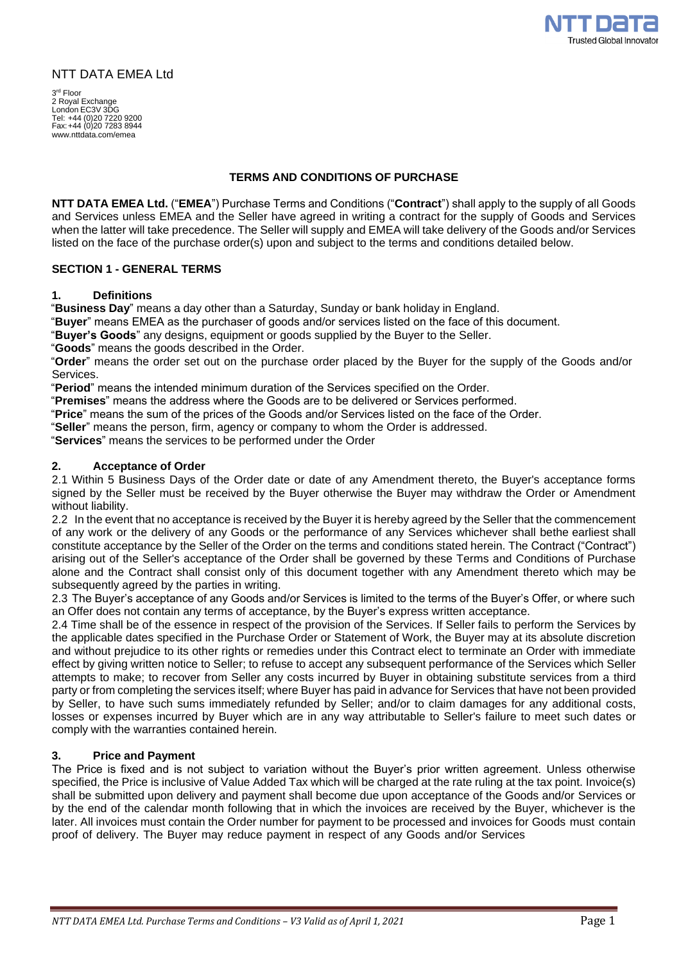

# NTT DATA EMEA Ltd

3 rd Floor 2 Royal Exchange London EC3V 3DG Tel: +44 (0)20 7220 9200 Fax:+44 (0)20 7283 8944 [www.nttdata.com/emea](http://www.nttdata.com/emea)

# **TERMS AND CONDITIONS OF PURCHASE**

**NTT DATA EMEA Ltd.** ("**EMEA**") Purchase Terms and Conditions ("**Contract**") shall apply to the supply of all Goods and Services unless EMEA and the Seller have agreed in writing a contract for the supply of Goods and Services when the latter will take precedence. The Seller will supply and EMEA will take delivery of the Goods and/or Services listed on the face of the purchase order(s) upon and subject to the terms and conditions detailed below.

# **SECTION 1 - GENERAL TERMS**

#### **1. Definitions**

"**Business Day**" means a day other than a Saturday, Sunday or bank holiday in England.

"**Buyer**" means EMEA as the purchaser of goods and/or services listed on the face of this document.

"**Buyer's Goods**" any designs, equipment or goods supplied by the Buyer to the Seller.

"**Goods**" means the goods described in the Order.

"**Order**" means the order set out on the purchase order placed by the Buyer for the supply of the Goods and/or Services.

"**Period**" means the intended minimum duration of the Services specified on the Order.

"**Premises**" means the address where the Goods are to be delivered or Services performed.

"**Price**" means the sum of the prices of the Goods and/or Services listed on the face of the Order.

"**Seller**" means the person, firm, agency or company to whom the Order is addressed.

"**Services**" means the services to be performed under the Order

### **2. Acceptance of Order**

2.1 Within 5 Business Days of the Order date or date of any Amendment thereto, the Buyer's acceptance forms signed by the Seller must be received by the Buyer otherwise the Buyer may withdraw the Order or Amendment without liability.

2.2 In the event that no acceptance is received by the Buyer it is hereby agreed by the Seller that the commencement of any work or the delivery of any Goods or the performance of any Services whichever shall bethe earliest shall constitute acceptance by the Seller of the Order on the terms and conditions stated herein. The Contract ("Contract") arising out of the Seller's acceptance of the Order shall be governed by these Terms and Conditions of Purchase alone and the Contract shall consist only of this document together with any Amendment thereto which may be subsequently agreed by the parties in writing.

2.3 The Buyer's acceptance of any Goods and/or Services is limited to the terms of the Buyer's Offer, or where such an Offer does not contain any terms of acceptance, by the Buyer's express written acceptance.

2.4 Time shall be of the essence in respect of the provision of the Services. If Seller fails to perform the Services by the applicable dates specified in the Purchase Order or Statement of Work, the Buyer may at its absolute discretion and without prejudice to its other rights or remedies under this Contract elect to terminate an Order with immediate effect by giving written notice to Seller; to refuse to accept any subsequent performance of the Services which Seller attempts to make; to recover from Seller any costs incurred by Buyer in obtaining substitute services from a third party or from completing the services itself; where Buyer has paid in advance for Services that have not been provided by Seller, to have such sums immediately refunded by Seller; and/or to claim damages for any additional costs, losses or expenses incurred by Buyer which are in any way attributable to Seller's failure to meet such dates or comply with the warranties contained herein.

## **3. Price and Payment**

The Price is fixed and is not subject to variation without the Buyer's prior written agreement. Unless otherwise specified, the Price is inclusive of Value Added Tax which will be charged at the rate ruling at the tax point. Invoice(s) shall be submitted upon delivery and payment shall become due upon acceptance of the Goods and/or Services or by the end of the calendar month following that in which the invoices are received by the Buyer, whichever is the later. All invoices must contain the Order number for payment to be processed and invoices for Goods must contain proof of delivery. The Buyer may reduce payment in respect of any Goods and/or Services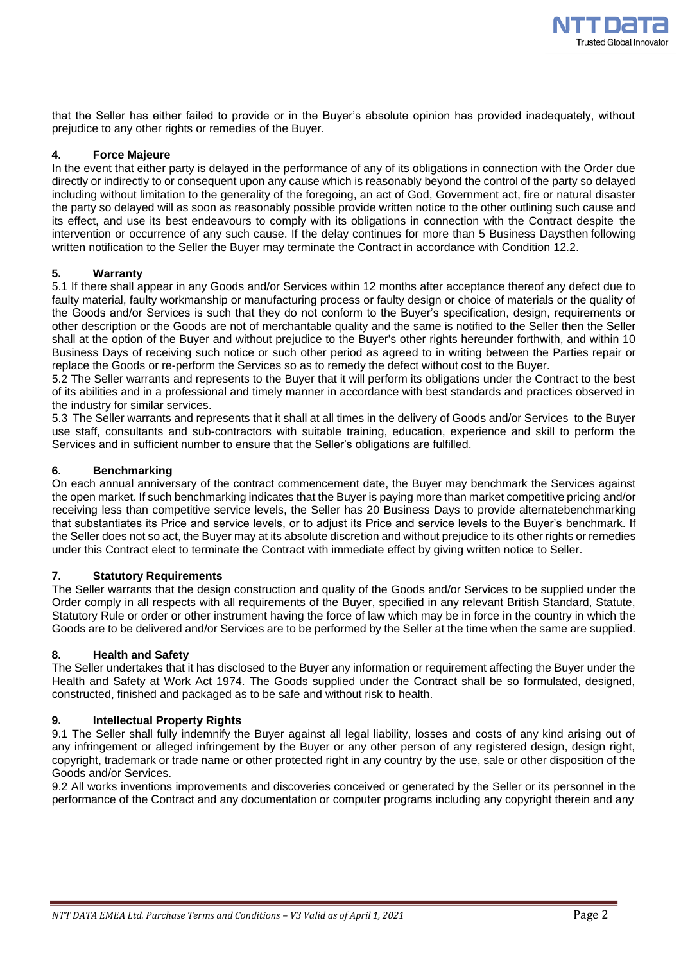

that the Seller has either failed to provide or in the Buyer's absolute opinion has provided inadequately, without prejudice to any other rights or remedies of the Buyer.

# **4. Force Majeure**

In the event that either party is delayed in the performance of any of its obligations in connection with the Order due directly or indirectly to or consequent upon any cause which is reasonably beyond the control of the party so delayed including without limitation to the generality of the foregoing, an act of God, Government act, fire or natural disaster the party so delayed will as soon as reasonably possible provide written notice to the other outlining such cause and its effect, and use its best endeavours to comply with its obligations in connection with the Contract despite the intervention or occurrence of any such cause. If the delay continues for more than 5 Business Daysthen following written notification to the Seller the Buyer may terminate the Contract in accordance with Condition 12.2.

## **5. Warranty**

5.1 If there shall appear in any Goods and/or Services within 12 months after acceptance thereof any defect due to faulty material, faulty workmanship or manufacturing process or faulty design or choice of materials or the quality of the Goods and/or Services is such that they do not conform to the Buyer's specification, design, requirements or other description or the Goods are not of merchantable quality and the same is notified to the Seller then the Seller shall at the option of the Buyer and without prejudice to the Buyer's other rights hereunder forthwith, and within 10 Business Days of receiving such notice or such other period as agreed to in writing between the Parties repair or replace the Goods or re-perform the Services so as to remedy the defect without cost to the Buyer.

5.2 The Seller warrants and represents to the Buyer that it will perform its obligations under the Contract to the best of its abilities and in a professional and timely manner in accordance with best standards and practices observed in the industry for similar services.

5.3 The Seller warrants and represents that it shall at all times in the delivery of Goods and/or Services to the Buyer use staff, consultants and sub-contractors with suitable training, education, experience and skill to perform the Services and in sufficient number to ensure that the Seller's obligations are fulfilled.

## **6. Benchmarking**

On each annual anniversary of the contract commencement date, the Buyer may benchmark the Services against the open market. If such benchmarking indicates that the Buyer is paying more than market competitive pricing and/or receiving less than competitive service levels, the Seller has 20 Business Days to provide alternatebenchmarking that substantiates its Price and service levels, or to adjust its Price and service levels to the Buyer's benchmark. If the Seller does not so act, the Buyer may at its absolute discretion and without prejudice to its other rights or remedies under this Contract elect to terminate the Contract with immediate effect by giving written notice to Seller.

# **7. Statutory Requirements**

The Seller warrants that the design construction and quality of the Goods and/or Services to be supplied under the Order comply in all respects with all requirements of the Buyer, specified in any relevant British Standard, Statute, Statutory Rule or order or other instrument having the force of law which may be in force in the country in which the Goods are to be delivered and/or Services are to be performed by the Seller at the time when the same are supplied.

### **8. Health and Safety**

The Seller undertakes that it has disclosed to the Buyer any information or requirement affecting the Buyer under the Health and Safety at Work Act 1974. The Goods supplied under the Contract shall be so formulated, designed, constructed, finished and packaged as to be safe and without risk to health.

## **9. Intellectual Property Rights**

9.1 The Seller shall fully indemnify the Buyer against all legal liability, losses and costs of any kind arising out of any infringement or alleged infringement by the Buyer or any other person of any registered design, design right, copyright, trademark or trade name or other protected right in any country by the use, sale or other disposition of the Goods and/or Services.

9.2 All works inventions improvements and discoveries conceived or generated by the Seller or its personnel in the performance of the Contract and any documentation or computer programs including any copyright therein and any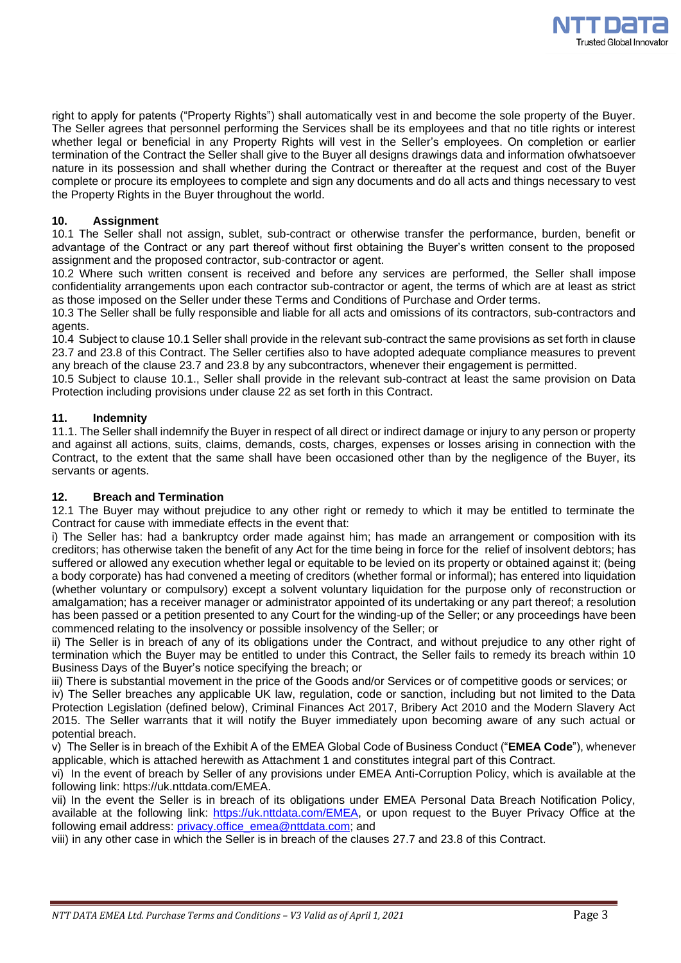

right to apply for patents ("Property Rights") shall automatically vest in and become the sole property of the Buyer. The Seller agrees that personnel performing the Services shall be its employees and that no title rights or interest whether legal or beneficial in any Property Rights will vest in the Seller's employees. On completion or earlier termination of the Contract the Seller shall give to the Buyer all designs drawings data and information ofwhatsoever nature in its possession and shall whether during the Contract or thereafter at the request and cost of the Buyer complete or procure its employees to complete and sign any documents and do all acts and things necessary to vest the Property Rights in the Buyer throughout the world.

# **10. Assignment**

10.1 The Seller shall not assign, sublet, sub-contract or otherwise transfer the performance, burden, benefit or advantage of the Contract or any part thereof without first obtaining the Buyer's written consent to the proposed assignment and the proposed contractor, sub-contractor or agent.

10.2 Where such written consent is received and before any services are performed, the Seller shall impose confidentiality arrangements upon each contractor sub-contractor or agent, the terms of which are at least as strict as those imposed on the Seller under these Terms and Conditions of Purchase and Order terms.

10.3 The Seller shall be fully responsible and liable for all acts and omissions of its contractors, sub-contractors and agents.

10.4 Subject to clause 10.1 Seller shall provide in the relevant sub-contract the same provisions as set forth in clause 23.7 and 23.8 of this Contract. The Seller certifies also to have adopted adequate compliance measures to prevent any breach of the clause 23.7 and 23.8 by any subcontractors, whenever their engagement is permitted.

10.5 Subject to clause 10.1., Seller shall provide in the relevant sub-contract at least the same provision on Data Protection including provisions under clause 22 as set forth in this Contract.

# **11. Indemnity**

11.1. The Seller shall indemnify the Buyer in respect of all direct or indirect damage or injury to any person or property and against all actions, suits, claims, demands, costs, charges, expenses or losses arising in connection with the Contract, to the extent that the same shall have been occasioned other than by the negligence of the Buyer, its servants or agents.

# **12. Breach and Termination**

12.1 The Buyer may without prejudice to any other right or remedy to which it may be entitled to terminate the Contract for cause with immediate effects in the event that:

i) The Seller has: had a bankruptcy order made against him; has made an arrangement or composition with its creditors; has otherwise taken the benefit of any Act for the time being in force for the relief of insolvent debtors; has suffered or allowed any execution whether legal or equitable to be levied on its property or obtained against it; (being a body corporate) has had convened a meeting of creditors (whether formal or informal); has entered into liquidation (whether voluntary or compulsory) except a solvent voluntary liquidation for the purpose only of reconstruction or amalgamation; has a receiver manager or administrator appointed of its undertaking or any part thereof; a resolution has been passed or a petition presented to any Court for the winding-up of the Seller; or any proceedings have been commenced relating to the insolvency or possible insolvency of the Seller; or

ii) The Seller is in breach of any of its obligations under the Contract, and without prejudice to any other right of termination which the Buyer may be entitled to under this Contract, the Seller fails to remedy its breach within 10 Business Days of the Buyer's notice specifying the breach; or

iii) There is substantial movement in the price of the Goods and/or Services or of competitive goods or services; or

iv) The Seller breaches any applicable UK law, regulation, code or sanction, including but not limited to the Data Protection Legislation (defined below), Criminal Finances Act 2017, Bribery Act 2010 and the Modern Slavery Act 2015. The Seller warrants that it will notify the Buyer immediately upon becoming aware of any such actual or potential breach.

v) The Seller is in breach of the Exhibit A of the EMEA Global Code of Business Conduct ("**EMEA Code**"), whenever applicable, which is attached herewith as Attachment 1 and constitutes integral part of this Contract.

vi) In the event of breach by Seller of any provisions under EMEA Anti-Corruption Policy, which is available at the following link: https://uk.nttdata.com/EMEA.

vii) In the event the Seller is in breach of its obligations under EMEA Personal Data Breach Notification Policy, available at the following link: [https://uk.nttdata.com/EMEA,](https://uk.nttdata.com/EMEA) or upon request to the Buyer Privacy Office at the following email address: [privacy.office\\_emea@nttdata.com;](mailto:privacy.office_emea@nttdata.com) and

viii) in any other case in which the Seller is in breach of the clauses 27.7 and 23.8 of this Contract.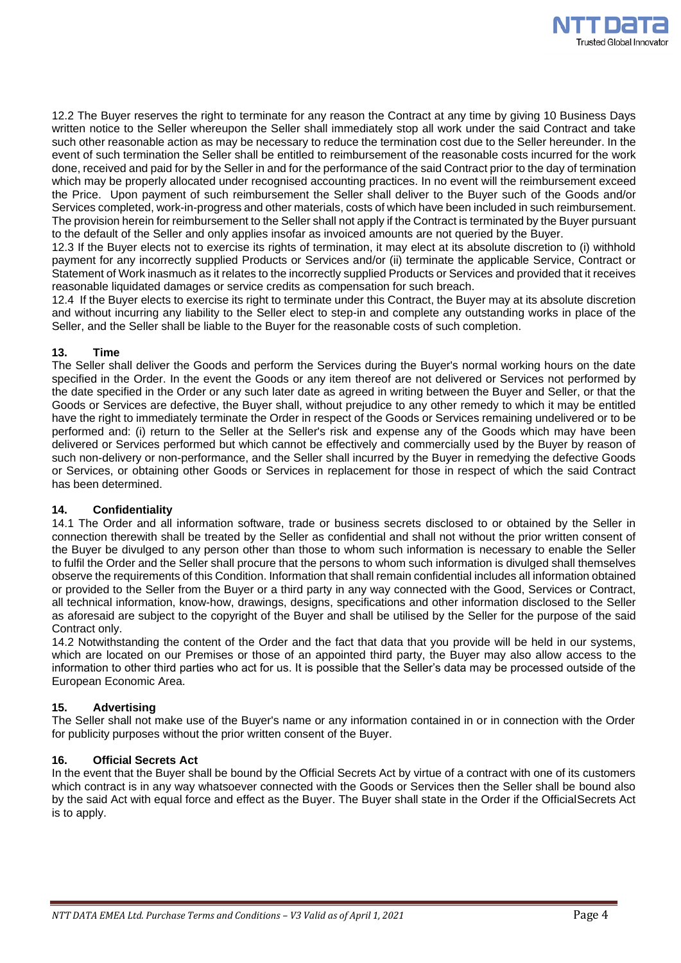

12.2 The Buyer reserves the right to terminate for any reason the Contract at any time by giving 10 Business Days written notice to the Seller whereupon the Seller shall immediately stop all work under the said Contract and take such other reasonable action as may be necessary to reduce the termination cost due to the Seller hereunder. In the event of such termination the Seller shall be entitled to reimbursement of the reasonable costs incurred for the work done, received and paid for by the Seller in and for the performance of the said Contract prior to the day of termination which may be properly allocated under recognised accounting practices. In no event will the reimbursement exceed the Price. Upon payment of such reimbursement the Seller shall deliver to the Buyer such of the Goods and/or Services completed, work-in-progress and other materials, costs of which have been included in such reimbursement. The provision herein for reimbursement to the Seller shall not apply if the Contract is terminated by the Buyer pursuant to the default of the Seller and only applies insofar as invoiced amounts are not queried by the Buyer.

12.3 If the Buyer elects not to exercise its rights of termination, it may elect at its absolute discretion to (i) withhold payment for any incorrectly supplied Products or Services and/or (ii) terminate the applicable Service, Contract or Statement of Work inasmuch as it relates to the incorrectly supplied Products or Services and provided that it receives reasonable liquidated damages or service credits as compensation for such breach.

12.4 If the Buyer elects to exercise its right to terminate under this Contract, the Buyer may at its absolute discretion and without incurring any liability to the Seller elect to step-in and complete any outstanding works in place of the Seller, and the Seller shall be liable to the Buyer for the reasonable costs of such completion.

# **13. Time**

The Seller shall deliver the Goods and perform the Services during the Buyer's normal working hours on the date specified in the Order. In the event the Goods or any item thereof are not delivered or Services not performed by the date specified in the Order or any such later date as agreed in writing between the Buyer and Seller, or that the Goods or Services are defective, the Buyer shall, without prejudice to any other remedy to which it may be entitled have the right to immediately terminate the Order in respect of the Goods or Services remaining undelivered or to be performed and: (i) return to the Seller at the Seller's risk and expense any of the Goods which may have been delivered or Services performed but which cannot be effectively and commercially used by the Buyer by reason of such non-delivery or non-performance, and the Seller shall incurred by the Buyer in remedying the defective Goods or Services, or obtaining other Goods or Services in replacement for those in respect of which the said Contract has been determined.

### **14. Confidentiality**

14.1 The Order and all information software, trade or business secrets disclosed to or obtained by the Seller in connection therewith shall be treated by the Seller as confidential and shall not without the prior written consent of the Buyer be divulged to any person other than those to whom such information is necessary to enable the Seller to fulfil the Order and the Seller shall procure that the persons to whom such information is divulged shall themselves observe the requirements of this Condition. Information that shall remain confidential includes all information obtained or provided to the Seller from the Buyer or a third party in any way connected with the Good, Services or Contract, all technical information, know-how, drawings, designs, specifications and other information disclosed to the Seller as aforesaid are subject to the copyright of the Buyer and shall be utilised by the Seller for the purpose of the said Contract only.

14.2 Notwithstanding the content of the Order and the fact that data that you provide will be held in our systems, which are located on our Premises or those of an appointed third party, the Buyer may also allow access to the information to other third parties who act for us. It is possible that the Seller's data may be processed outside of the European Economic Area.

# **15. Advertising**

The Seller shall not make use of the Buyer's name or any information contained in or in connection with the Order for publicity purposes without the prior written consent of the Buyer.

### **16. Official Secrets Act**

In the event that the Buyer shall be bound by the Official Secrets Act by virtue of a contract with one of its customers which contract is in any way whatsoever connected with the Goods or Services then the Seller shall be bound also by the said Act with equal force and effect as the Buyer. The Buyer shall state in the Order if the OfficialSecrets Act is to apply.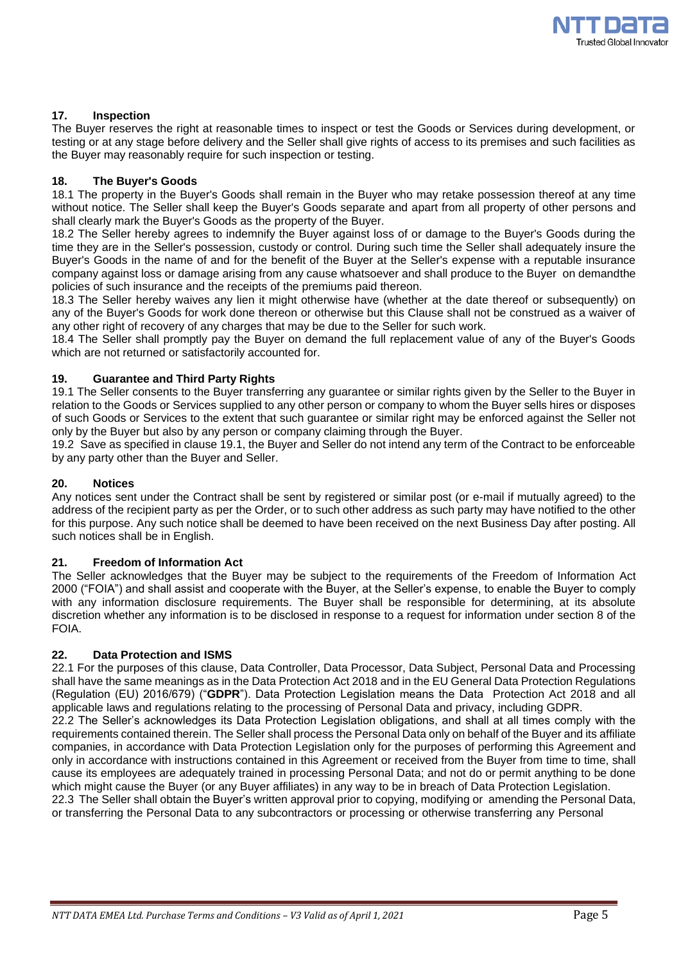

# **17. Inspection**

The Buyer reserves the right at reasonable times to inspect or test the Goods or Services during development, or testing or at any stage before delivery and the Seller shall give rights of access to its premises and such facilities as the Buyer may reasonably require for such inspection or testing.

## **18. The Buyer's Goods**

18.1 The property in the Buyer's Goods shall remain in the Buyer who may retake possession thereof at any time without notice. The Seller shall keep the Buyer's Goods separate and apart from all property of other persons and shall clearly mark the Buyer's Goods as the property of the Buyer.

18.2 The Seller hereby agrees to indemnify the Buyer against loss of or damage to the Buyer's Goods during the time they are in the Seller's possession, custody or control. During such time the Seller shall adequately insure the Buyer's Goods in the name of and for the benefit of the Buyer at the Seller's expense with a reputable insurance company against loss or damage arising from any cause whatsoever and shall produce to the Buyer on demandthe policies of such insurance and the receipts of the premiums paid thereon.

18.3 The Seller hereby waives any lien it might otherwise have (whether at the date thereof or subsequently) on any of the Buyer's Goods for work done thereon or otherwise but this Clause shall not be construed as a waiver of any other right of recovery of any charges that may be due to the Seller for such work.

18.4 The Seller shall promptly pay the Buyer on demand the full replacement value of any of the Buyer's Goods which are not returned or satisfactorily accounted for.

## **19. Guarantee and Third Party Rights**

19.1 The Seller consents to the Buyer transferring any guarantee or similar rights given by the Seller to the Buyer in relation to the Goods or Services supplied to any other person or company to whom the Buyer sells hires or disposes of such Goods or Services to the extent that such guarantee or similar right may be enforced against the Seller not only by the Buyer but also by any person or company claiming through the Buyer.

19.2 Save as specified in clause 19.1, the Buyer and Seller do not intend any term of the Contract to be enforceable by any party other than the Buyer and Seller.

## **20. Notices**

Any notices sent under the Contract shall be sent by registered or similar post (or e-mail if mutually agreed) to the address of the recipient party as per the Order, or to such other address as such party may have notified to the other for this purpose. Any such notice shall be deemed to have been received on the next Business Day after posting. All such notices shall be in English.

### **21. Freedom of Information Act**

The Seller acknowledges that the Buyer may be subject to the requirements of the Freedom of Information Act 2000 ("FOIA") and shall assist and cooperate with the Buyer, at the Seller's expense, to enable the Buyer to comply with any information disclosure requirements. The Buyer shall be responsible for determining, at its absolute discretion whether any information is to be disclosed in response to a request for information under section 8 of the FOIA.

### **22. Data Protection and ISMS**

22.1 For the purposes of this clause, Data Controller, Data Processor, Data Subject, Personal Data and Processing shall have the same meanings as in the Data Protection Act 2018 and in the EU General Data Protection Regulations (Regulation (EU) 2016/679) ("**GDPR**"). Data Protection Legislation means the Data Protection Act 2018 and all applicable laws and regulations relating to the processing of Personal Data and privacy, including GDPR. 22.2 The Seller's acknowledges its Data Protection Legislation obligations, and shall at all times comply with the requirements contained therein. The Seller shall process the Personal Data only on behalf of the Buyer and its affiliate companies, in accordance with Data Protection Legislation only for the purposes of performing this Agreement and only in accordance with instructions contained in this Agreement or received from the Buyer from time to time, shall cause its employees are adequately trained in processing Personal Data; and not do or permit anything to be done which might cause the Buyer (or any Buyer affiliates) in any way to be in breach of Data Protection Legislation. 22.3 The Seller shall obtain the Buyer's written approval prior to copying, modifying or amending the Personal Data, or transferring the Personal Data to any subcontractors or processing or otherwise transferring any Personal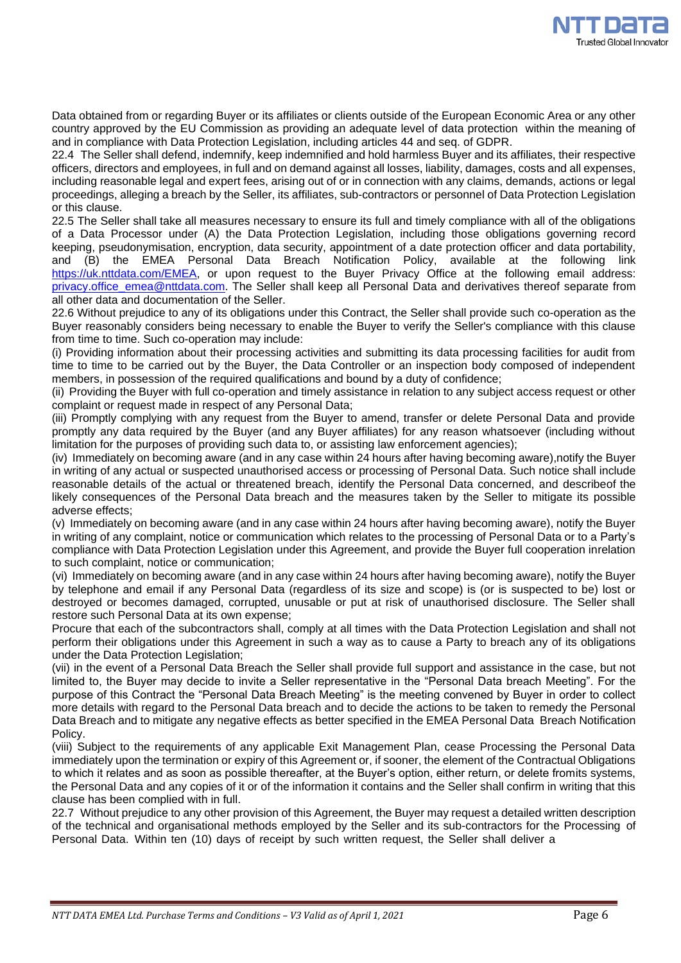

Data obtained from or regarding Buyer or its affiliates or clients outside of the European Economic Area or any other country approved by the EU Commission as providing an adequate level of data protection within the meaning of and in compliance with Data Protection Legislation, including articles 44 and seq. of GDPR.

22.4 The Seller shall defend, indemnify, keep indemnified and hold harmless Buyer and its affiliates, their respective officers, directors and employees, in full and on demand against all losses, liability, damages, costs and all expenses, including reasonable legal and expert fees, arising out of or in connection with any claims, demands, actions or legal proceedings, alleging a breach by the Seller, its affiliates, sub-contractors or personnel of Data Protection Legislation or this clause.

22.5 The Seller shall take all measures necessary to ensure its full and timely compliance with all of the obligations of a Data Processor under (A) the Data Protection Legislation, including those obligations governing record keeping, pseudonymisation, encryption, data security, appointment of a date protection officer and data portability, and (B) the EMEA Personal Data Breach Notification Policy, available at the following link [https://uk.nttdata.com/EMEA,](https://uk.nttdata.com/EMEA) or upon request to the Buyer Privacy Office at the following email address: [privacy.office\\_emea@nttdata.com.](mailto:privacy.office_emea@nttdata.com) The Seller shall keep all Personal Data and derivatives thereof separate from all other data and documentation of the Seller.

22.6 Without prejudice to any of its obligations under this Contract, the Seller shall provide such co-operation as the Buyer reasonably considers being necessary to enable the Buyer to verify the Seller's compliance with this clause from time to time. Such co-operation may include:

(i) Providing information about their processing activities and submitting its data processing facilities for audit from time to time to be carried out by the Buyer, the Data Controller or an inspection body composed of independent members, in possession of the required qualifications and bound by a duty of confidence;

(ii) Providing the Buyer with full co-operation and timely assistance in relation to any subject access request or other complaint or request made in respect of any Personal Data;

(iii) Promptly complying with any request from the Buyer to amend, transfer or delete Personal Data and provide promptly any data required by the Buyer (and any Buyer affiliates) for any reason whatsoever (including without limitation for the purposes of providing such data to, or assisting law enforcement agencies);

(iv) Immediately on becoming aware (and in any case within 24 hours after having becoming aware),notify the Buyer in writing of any actual or suspected unauthorised access or processing of Personal Data. Such notice shall include reasonable details of the actual or threatened breach, identify the Personal Data concerned, and describeof the likely consequences of the Personal Data breach and the measures taken by the Seller to mitigate its possible adverse effects;

(v) Immediately on becoming aware (and in any case within 24 hours after having becoming aware), notify the Buyer in writing of any complaint, notice or communication which relates to the processing of Personal Data or to a Party's compliance with Data Protection Legislation under this Agreement, and provide the Buyer full cooperation inrelation to such complaint, notice or communication;

(vi) Immediately on becoming aware (and in any case within 24 hours after having becoming aware), notify the Buyer by telephone and email if any Personal Data (regardless of its size and scope) is (or is suspected to be) lost or destroyed or becomes damaged, corrupted, unusable or put at risk of unauthorised disclosure. The Seller shall restore such Personal Data at its own expense;

Procure that each of the subcontractors shall, comply at all times with the Data Protection Legislation and shall not perform their obligations under this Agreement in such a way as to cause a Party to breach any of its obligations under the Data Protection Legislation;

(vii) in the event of a Personal Data Breach the Seller shall provide full support and assistance in the case, but not limited to, the Buyer may decide to invite a Seller representative in the "Personal Data breach Meeting". For the purpose of this Contract the "Personal Data Breach Meeting" is the meeting convened by Buyer in order to collect more details with regard to the Personal Data breach and to decide the actions to be taken to remedy the Personal Data Breach and to mitigate any negative effects as better specified in the EMEA Personal Data Breach Notification Policy.

(viii) Subject to the requirements of any applicable Exit Management Plan, cease Processing the Personal Data immediately upon the termination or expiry of this Agreement or, if sooner, the element of the Contractual Obligations to which it relates and as soon as possible thereafter, at the Buyer's option, either return, or delete fromits systems, the Personal Data and any copies of it or of the information it contains and the Seller shall confirm in writing that this clause has been complied with in full.

22.7 Without prejudice to any other provision of this Agreement, the Buyer may request a detailed written description of the technical and organisational methods employed by the Seller and its sub-contractors for the Processing of Personal Data. Within ten (10) days of receipt by such written request, the Seller shall deliver a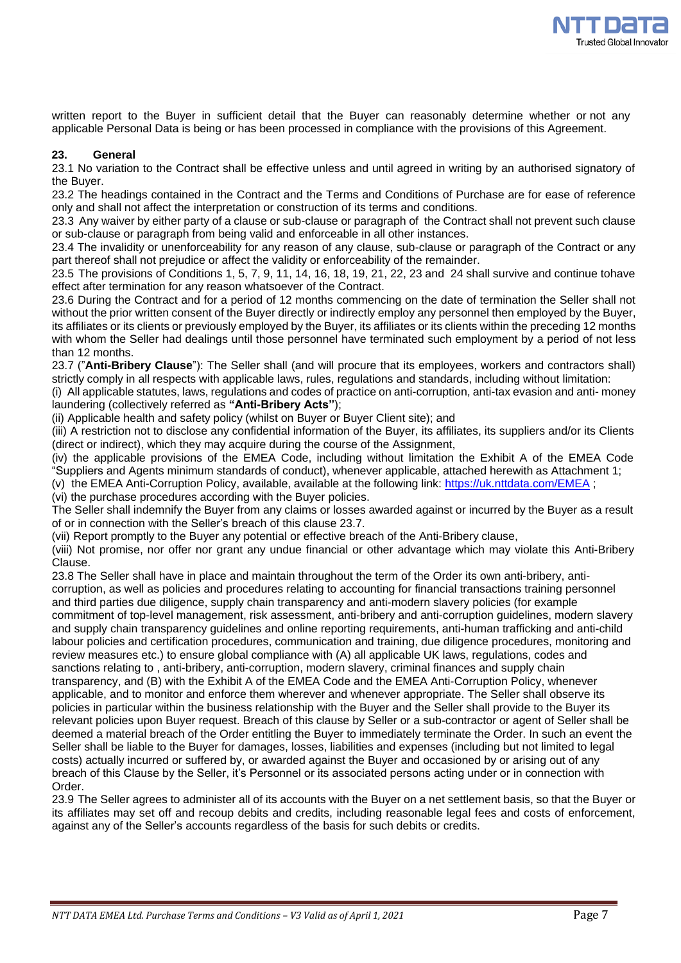

written report to the Buyer in sufficient detail that the Buyer can reasonably determine whether or not any applicable Personal Data is being or has been processed in compliance with the provisions of this Agreement.

# **23. General**

23.1 No variation to the Contract shall be effective unless and until agreed in writing by an authorised signatory of the Buyer.

23.2 The headings contained in the Contract and the Terms and Conditions of Purchase are for ease of reference only and shall not affect the interpretation or construction of its terms and conditions.

23.3 Any waiver by either party of a clause or sub-clause or paragraph of the Contract shall not prevent such clause or sub-clause or paragraph from being valid and enforceable in all other instances.

23.4 The invalidity or unenforceability for any reason of any clause, sub-clause or paragraph of the Contract or any part thereof shall not prejudice or affect the validity or enforceability of the remainder.

23.5 The provisions of Conditions 1, 5, 7, 9, 11, 14, 16, 18, 19, 21, 22, 23 and 24 shall survive and continue tohave effect after termination for any reason whatsoever of the Contract.

23.6 During the Contract and for a period of 12 months commencing on the date of termination the Seller shall not without the prior written consent of the Buyer directly or indirectly employ any personnel then employed by the Buyer, its affiliates or its clients or previously employed by the Buyer, its affiliates or its clients within the preceding 12 months with whom the Seller had dealings until those personnel have terminated such employment by a period of not less than 12 months.

23.7 ("**Anti-Bribery Clause**"): The Seller shall (and will procure that its employees, workers and contractors shall) strictly comply in all respects with applicable laws, rules, regulations and standards, including without limitation:

(i) All applicable statutes, laws, regulations and codes of practice on anti-corruption, anti-tax evasion and anti- money laundering (collectively referred as **"Anti-Bribery Acts"**);

(ii) Applicable health and safety policy (whilst on Buyer or Buyer Client site); and

(iii) A restriction not to disclose any confidential information of the Buyer, its affiliates, its suppliers and/or its Clients (direct or indirect), which they may acquire during the course of the Assignment,

(iv) the applicable provisions of the EMEA Code, including without limitation the Exhibit A of the EMEA Code "Suppliers and Agents minimum standards of conduct), whenever applicable, attached herewith as Attachment 1;

(v) the EMEA Anti-Corruption Policy, available, available at the following link: <https://uk.nttdata.com/EMEA> ;

(vi) the purchase procedures according with the Buyer policies.

The Seller shall indemnify the Buyer from any claims or losses awarded against or incurred by the Buyer as a result of or in connection with the Seller's breach of this clause 23.7.

(vii) Report promptly to the Buyer any potential or effective breach of the Anti-Bribery clause,

(viii) Not promise, nor offer nor grant any undue financial or other advantage which may violate this Anti-Bribery Clause.

23.8 The Seller shall have in place and maintain throughout the term of the Order its own anti-bribery, anticorruption, as well as policies and procedures relating to accounting for financial transactions training personnel and third parties due diligence, supply chain transparency and anti-modern slavery policies (for example commitment of top-level management, risk assessment, anti-bribery and anti-corruption guidelines, modern slavery and supply chain transparency guidelines and online reporting requirements, anti-human trafficking and anti-child labour policies and certification procedures, communication and training, due diligence procedures, monitoring and review measures etc.) to ensure global compliance with (A) all applicable UK laws, regulations, codes and sanctions relating to , anti-bribery, anti-corruption, modern slavery, criminal finances and supply chain transparency, and (B) with the Exhibit A of the EMEA Code and the EMEA Anti-Corruption Policy, whenever applicable, and to monitor and enforce them wherever and whenever appropriate. The Seller shall observe its policies in particular within the business relationship with the Buyer and the Seller shall provide to the Buyer its relevant policies upon Buyer request. Breach of this clause by Seller or a sub-contractor or agent of Seller shall be deemed a material breach of the Order entitling the Buyer to immediately terminate the Order. In such an event the Seller shall be liable to the Buyer for damages, losses, liabilities and expenses (including but not limited to legal costs) actually incurred or suffered by, or awarded against the Buyer and occasioned by or arising out of any breach of this Clause by the Seller, it's Personnel or its associated persons acting under or in connection with Order.

23.9 The Seller agrees to administer all of its accounts with the Buyer on a net settlement basis, so that the Buyer or its affiliates may set off and recoup debits and credits, including reasonable legal fees and costs of enforcement, against any of the Seller's accounts regardless of the basis for such debits or credits.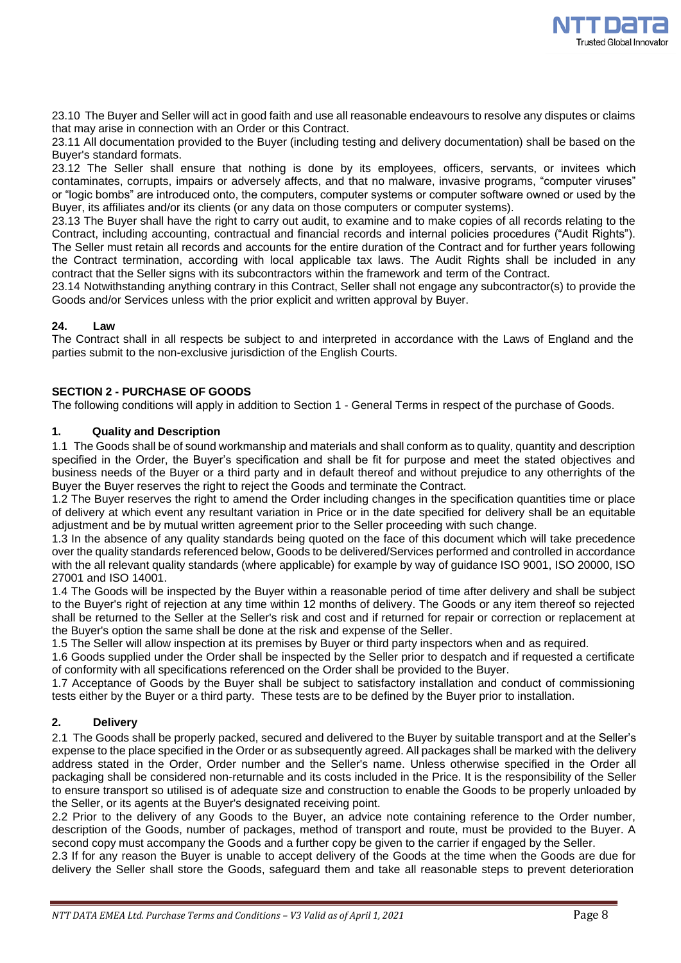

23.10 The Buyer and Seller will act in good faith and use all reasonable endeavours to resolve any disputes or claims that may arise in connection with an Order or this Contract.

23.11 All documentation provided to the Buyer (including testing and delivery documentation) shall be based on the Buyer's standard formats.

23.12 The Seller shall ensure that nothing is done by its employees, officers, servants, or invitees which contaminates, corrupts, impairs or adversely affects, and that no malware, invasive programs, "computer viruses" or "logic bombs" are introduced onto, the computers, computer systems or computer software owned or used by the Buyer, its affiliates and/or its clients (or any data on those computers or computer systems).

23.13 The Buyer shall have the right to carry out audit, to examine and to make copies of all records relating to the Contract, including accounting, contractual and financial records and internal policies procedures ("Audit Rights"). The Seller must retain all records and accounts for the entire duration of the Contract and for further years following the Contract termination, according with local applicable tax laws. The Audit Rights shall be included in any contract that the Seller signs with its subcontractors within the framework and term of the Contract.

23.14 Notwithstanding anything contrary in this Contract, Seller shall not engage any subcontractor(s) to provide the Goods and/or Services unless with the prior explicit and written approval by Buyer.

## **24. Law**

The Contract shall in all respects be subject to and interpreted in accordance with the Laws of England and the parties submit to the non-exclusive jurisdiction of the English Courts.

## **SECTION 2 - PURCHASE OF GOODS**

The following conditions will apply in addition to Section 1 - General Terms in respect of the purchase of Goods.

# **1. Quality and Description**

1.1 The Goods shall be of sound workmanship and materials and shall conform as to quality, quantity and description specified in the Order, the Buyer's specification and shall be fit for purpose and meet the stated objectives and business needs of the Buyer or a third party and in default thereof and without prejudice to any otherrights of the Buyer the Buyer reserves the right to reject the Goods and terminate the Contract.

1.2 The Buyer reserves the right to amend the Order including changes in the specification quantities time or place of delivery at which event any resultant variation in Price or in the date specified for delivery shall be an equitable adjustment and be by mutual written agreement prior to the Seller proceeding with such change.

1.3 In the absence of any quality standards being quoted on the face of this document which will take precedence over the quality standards referenced below, Goods to be delivered/Services performed and controlled in accordance with the all relevant quality standards (where applicable) for example by way of guidance ISO 9001, ISO 20000, ISO 27001 and ISO 14001.

1.4 The Goods will be inspected by the Buyer within a reasonable period of time after delivery and shall be subject to the Buyer's right of rejection at any time within 12 months of delivery. The Goods or any item thereof so rejected shall be returned to the Seller at the Seller's risk and cost and if returned for repair or correction or replacement at the Buyer's option the same shall be done at the risk and expense of the Seller.

1.5 The Seller will allow inspection at its premises by Buyer or third party inspectors when and as required.

1.6 Goods supplied under the Order shall be inspected by the Seller prior to despatch and if requested a certificate of conformity with all specifications referenced on the Order shall be provided to the Buyer.

1.7 Acceptance of Goods by the Buyer shall be subject to satisfactory installation and conduct of commissioning tests either by the Buyer or a third party. These tests are to be defined by the Buyer prior to installation.

# **2. Delivery**

2.1 The Goods shall be properly packed, secured and delivered to the Buyer by suitable transport and at the Seller's expense to the place specified in the Order or as subsequently agreed. All packages shall be marked with the delivery address stated in the Order, Order number and the Seller's name. Unless otherwise specified in the Order all packaging shall be considered non-returnable and its costs included in the Price. It is the responsibility of the Seller to ensure transport so utilised is of adequate size and construction to enable the Goods to be properly unloaded by the Seller, or its agents at the Buyer's designated receiving point.

2.2 Prior to the delivery of any Goods to the Buyer, an advice note containing reference to the Order number, description of the Goods, number of packages, method of transport and route, must be provided to the Buyer. A second copy must accompany the Goods and a further copy be given to the carrier if engaged by the Seller.

2.3 If for any reason the Buyer is unable to accept delivery of the Goods at the time when the Goods are due for delivery the Seller shall store the Goods, safeguard them and take all reasonable steps to prevent deterioration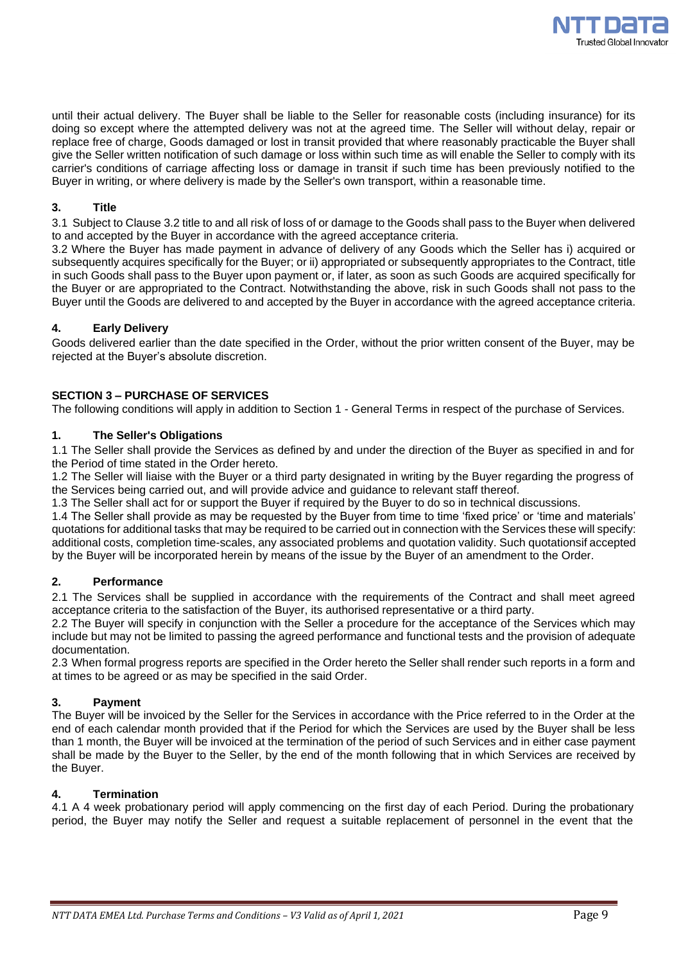

until their actual delivery. The Buyer shall be liable to the Seller for reasonable costs (including insurance) for its doing so except where the attempted delivery was not at the agreed time. The Seller will without delay, repair or replace free of charge, Goods damaged or lost in transit provided that where reasonably practicable the Buyer shall give the Seller written notification of such damage or loss within such time as will enable the Seller to comply with its carrier's conditions of carriage affecting loss or damage in transit if such time has been previously notified to the Buyer in writing, or where delivery is made by the Seller's own transport, within a reasonable time.

# **3. Title**

3.1 Subject to Clause 3.2 title to and all risk of loss of or damage to the Goods shall pass to the Buyer when delivered to and accepted by the Buyer in accordance with the agreed acceptance criteria.

3.2 Where the Buyer has made payment in advance of delivery of any Goods which the Seller has i) acquired or subsequently acquires specifically for the Buyer; or ii) appropriated or subsequently appropriates to the Contract, title in such Goods shall pass to the Buyer upon payment or, if later, as soon as such Goods are acquired specifically for the Buyer or are appropriated to the Contract. Notwithstanding the above, risk in such Goods shall not pass to the Buyer until the Goods are delivered to and accepted by the Buyer in accordance with the agreed acceptance criteria.

# **4. Early Delivery**

Goods delivered earlier than the date specified in the Order, without the prior written consent of the Buyer, may be rejected at the Buyer's absolute discretion.

# **SECTION 3 – PURCHASE OF SERVICES**

The following conditions will apply in addition to Section 1 - General Terms in respect of the purchase of Services.

## **1. The Seller's Obligations**

1.1 The Seller shall provide the Services as defined by and under the direction of the Buyer as specified in and for the Period of time stated in the Order hereto.

1.2 The Seller will liaise with the Buyer or a third party designated in writing by the Buyer regarding the progress of the Services being carried out, and will provide advice and guidance to relevant staff thereof.

1.3 The Seller shall act for or support the Buyer if required by the Buyer to do so in technical discussions.

1.4 The Seller shall provide as may be requested by the Buyer from time to time 'fixed price' or 'time and materials' quotations for additional tasks that may be required to be carried out in connection with the Services these will specify: additional costs, completion time-scales, any associated problems and quotation validity. Such quotationsif accepted by the Buyer will be incorporated herein by means of the issue by the Buyer of an amendment to the Order.

## **2. Performance**

2.1 The Services shall be supplied in accordance with the requirements of the Contract and shall meet agreed acceptance criteria to the satisfaction of the Buyer, its authorised representative or a third party.

2.2 The Buyer will specify in conjunction with the Seller a procedure for the acceptance of the Services which may include but may not be limited to passing the agreed performance and functional tests and the provision of adequate documentation.

2.3 When formal progress reports are specified in the Order hereto the Seller shall render such reports in a form and at times to be agreed or as may be specified in the said Order.

### **3. Payment**

The Buyer will be invoiced by the Seller for the Services in accordance with the Price referred to in the Order at the end of each calendar month provided that if the Period for which the Services are used by the Buyer shall be less than 1 month, the Buyer will be invoiced at the termination of the period of such Services and in either case payment shall be made by the Buyer to the Seller, by the end of the month following that in which Services are received by the Buyer.

# **4. Termination**

4.1 A 4 week probationary period will apply commencing on the first day of each Period. During the probationary period, the Buyer may notify the Seller and request a suitable replacement of personnel in the event that the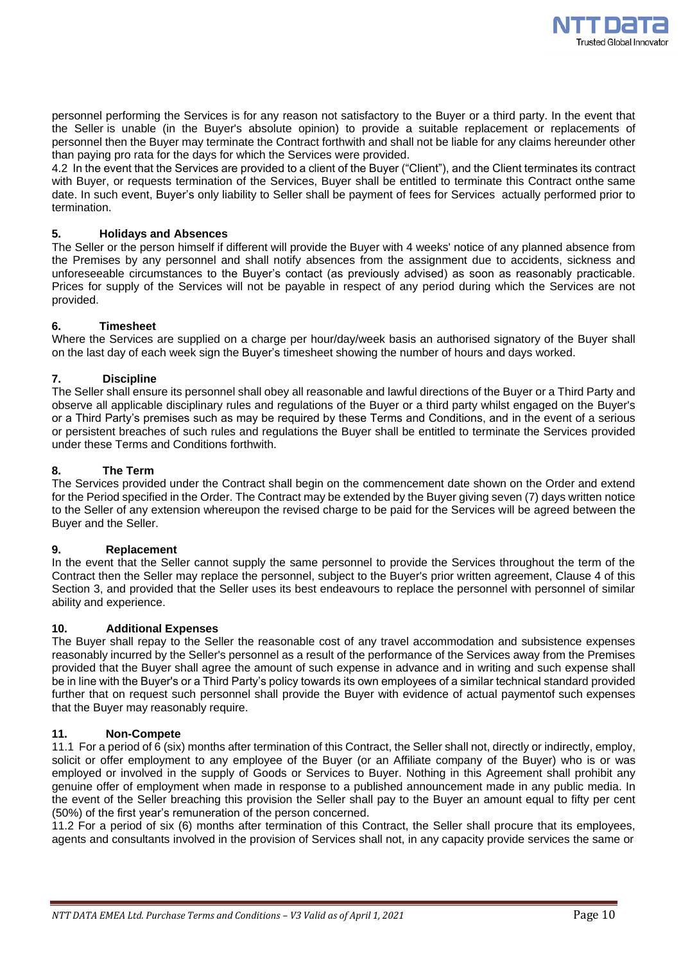

personnel performing the Services is for any reason not satisfactory to the Buyer or a third party. In the event that the Seller is unable (in the Buyer's absolute opinion) to provide a suitable replacement or replacements of personnel then the Buyer may terminate the Contract forthwith and shall not be liable for any claims hereunder other than paying pro rata for the days for which the Services were provided.

4.2 In the event that the Services are provided to a client of the Buyer ("Client"), and the Client terminates its contract with Buyer, or requests termination of the Services, Buyer shall be entitled to terminate this Contract onthe same date. In such event, Buyer's only liability to Seller shall be payment of fees for Services actually performed prior to termination.

## **5. Holidays and Absences**

The Seller or the person himself if different will provide the Buyer with 4 weeks' notice of any planned absence from the Premises by any personnel and shall notify absences from the assignment due to accidents, sickness and unforeseeable circumstances to the Buyer's contact (as previously advised) as soon as reasonably practicable. Prices for supply of the Services will not be payable in respect of any period during which the Services are not provided.

## **6. Timesheet**

Where the Services are supplied on a charge per hour/day/week basis an authorised signatory of the Buyer shall on the last day of each week sign the Buyer's timesheet showing the number of hours and days worked.

## **7. Discipline**

The Seller shall ensure its personnel shall obey all reasonable and lawful directions of the Buyer or a Third Party and observe all applicable disciplinary rules and regulations of the Buyer or a third party whilst engaged on the Buyer's or a Third Party's premises such as may be required by these Terms and Conditions, and in the event of a serious or persistent breaches of such rules and regulations the Buyer shall be entitled to terminate the Services provided under these Terms and Conditions forthwith.

# **8. The Term**

The Services provided under the Contract shall begin on the commencement date shown on the Order and extend for the Period specified in the Order. The Contract may be extended by the Buyer giving seven (7) days written notice to the Seller of any extension whereupon the revised charge to be paid for the Services will be agreed between the Buyer and the Seller.

### **9. Replacement**

In the event that the Seller cannot supply the same personnel to provide the Services throughout the term of the Contract then the Seller may replace the personnel, subject to the Buyer's prior written agreement, Clause 4 of this Section 3, and provided that the Seller uses its best endeavours to replace the personnel with personnel of similar ability and experience.

### **10. Additional Expenses**

The Buyer shall repay to the Seller the reasonable cost of any travel accommodation and subsistence expenses reasonably incurred by the Seller's personnel as a result of the performance of the Services away from the Premises provided that the Buyer shall agree the amount of such expense in advance and in writing and such expense shall be in line with the Buyer's or a Third Party's policy towards its own employees of a similar technical standard provided further that on request such personnel shall provide the Buyer with evidence of actual paymentof such expenses that the Buyer may reasonably require.

### **11. Non-Compete**

11.1 For a period of 6 (six) months after termination of this Contract, the Seller shall not, directly or indirectly, employ, solicit or offer employment to any employee of the Buyer (or an Affiliate company of the Buyer) who is or was employed or involved in the supply of Goods or Services to Buyer. Nothing in this Agreement shall prohibit any genuine offer of employment when made in response to a published announcement made in any public media. In the event of the Seller breaching this provision the Seller shall pay to the Buyer an amount equal to fifty per cent (50%) of the first year's remuneration of the person concerned.

11.2 For a period of six (6) months after termination of this Contract, the Seller shall procure that its employees, agents and consultants involved in the provision of Services shall not, in any capacity provide services the same or